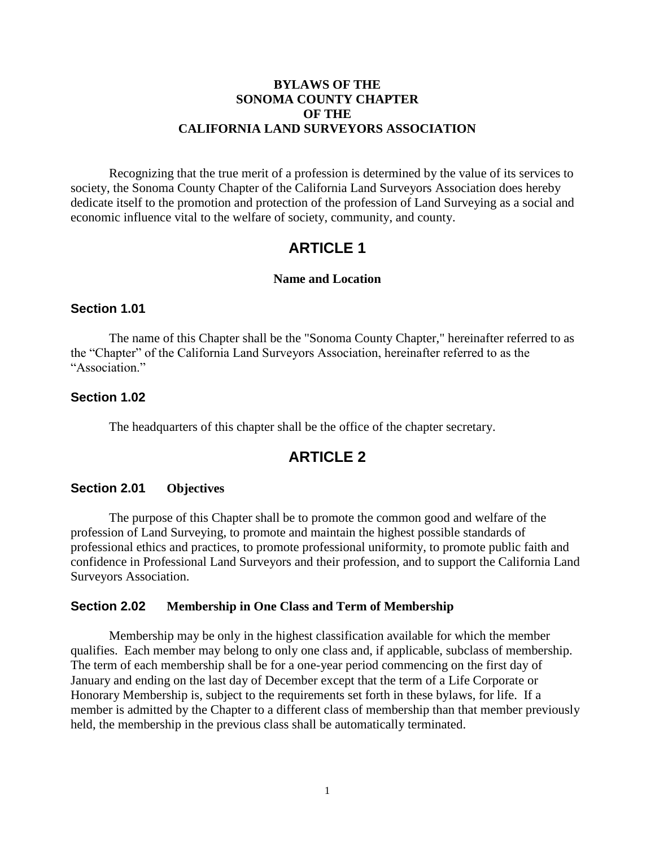## **BYLAWS OF THE SONOMA COUNTY CHAPTER OF THE CALIFORNIA LAND SURVEYORS ASSOCIATION**

Recognizing that the true merit of a profession is determined by the value of its services to society, the Sonoma County Chapter of the California Land Surveyors Association does hereby dedicate itself to the promotion and protection of the profession of Land Surveying as a social and economic influence vital to the welfare of society, community, and county.

# **ARTICLE 1**

### **Name and Location**

### **Section 1.01**

The name of this Chapter shall be the "Sonoma County Chapter," hereinafter referred to as the "Chapter" of the California Land Surveyors Association, hereinafter referred to as the "Association."

## **Section 1.02**

The headquarters of this chapter shall be the office of the chapter secretary.

# **ARTICLE 2**

## **Section 2.01 Objectives**

The purpose of this Chapter shall be to promote the common good and welfare of the profession of Land Surveying, to promote and maintain the highest possible standards of professional ethics and practices, to promote professional uniformity, to promote public faith and confidence in Professional Land Surveyors and their profession, and to support the California Land Surveyors Association.

## **Section 2.02 Membership in One Class and Term of Membership**

Membership may be only in the highest classification available for which the member qualifies. Each member may belong to only one class and, if applicable, subclass of membership. The term of each membership shall be for a one-year period commencing on the first day of January and ending on the last day of December except that the term of a Life Corporate or Honorary Membership is, subject to the requirements set forth in these bylaws, for life. If a member is admitted by the Chapter to a different class of membership than that member previously held, the membership in the previous class shall be automatically terminated.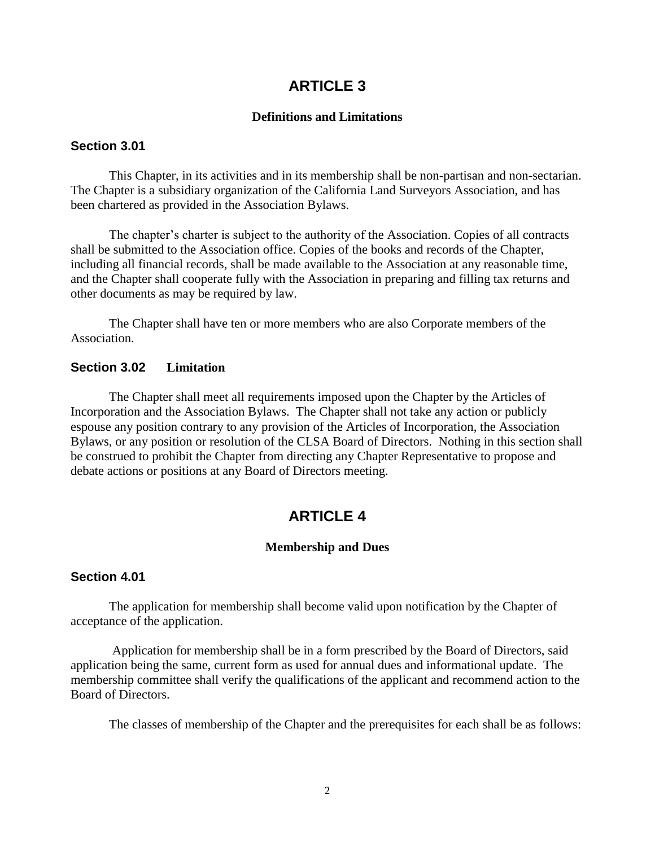# **ARTICLE 3**

### **Definitions and Limitations**

## **Section 3.01**

This Chapter, in its activities and in its membership shall be non-partisan and non-sectarian. The Chapter is a subsidiary organization of the California Land Surveyors Association, and has been chartered as provided in the Association Bylaws.

The chapter's charter is subject to the authority of the Association. Copies of all contracts shall be submitted to the Association office. Copies of the books and records of the Chapter, including all financial records, shall be made available to the Association at any reasonable time, and the Chapter shall cooperate fully with the Association in preparing and filling tax returns and other documents as may be required by law.

The Chapter shall have ten or more members who are also Corporate members of the Association.

### **Section 3.02 Limitation**

The Chapter shall meet all requirements imposed upon the Chapter by the Articles of Incorporation and the Association Bylaws. The Chapter shall not take any action or publicly espouse any position contrary to any provision of the Articles of Incorporation, the Association Bylaws, or any position or resolution of the CLSA Board of Directors. Nothing in this section shall be construed to prohibit the Chapter from directing any Chapter Representative to propose and debate actions or positions at any Board of Directors meeting.

# **ARTICLE 4**

### **Membership and Dues**

## **Section 4.01**

The application for membership shall become valid upon notification by the Chapter of acceptance of the application.

Application for membership shall be in a form prescribed by the Board of Directors, said application being the same, current form as used for annual dues and informational update. The membership committee shall verify the qualifications of the applicant and recommend action to the Board of Directors.

The classes of membership of the Chapter and the prerequisites for each shall be as follows: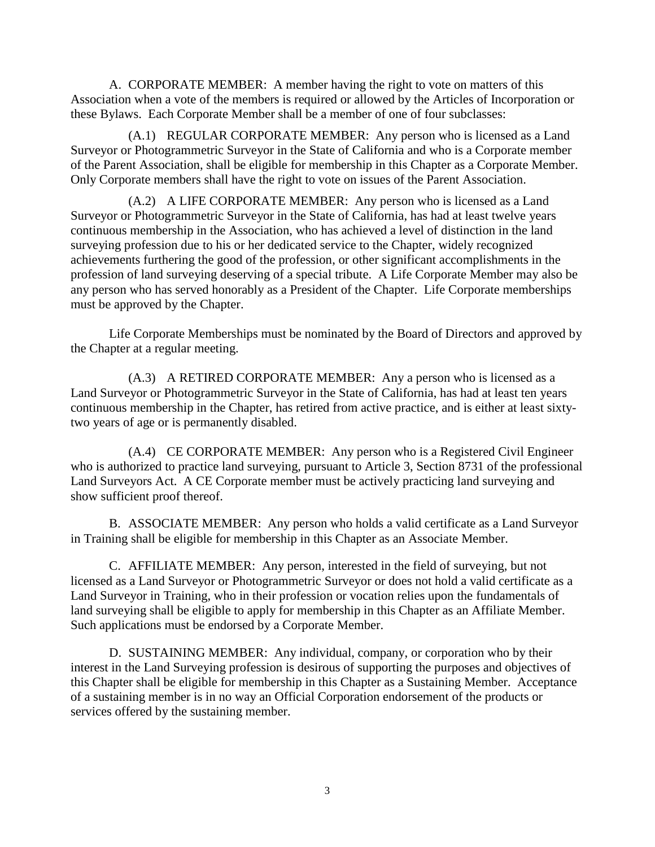A. CORPORATE MEMBER: A member having the right to vote on matters of this Association when a vote of the members is required or allowed by the Articles of Incorporation or these Bylaws. Each Corporate Member shall be a member of one of four subclasses:

(A.1) REGULAR CORPORATE MEMBER: Any person who is licensed as a Land Surveyor or Photogrammetric Surveyor in the State of California and who is a Corporate member of the Parent Association, shall be eligible for membership in this Chapter as a Corporate Member. Only Corporate members shall have the right to vote on issues of the Parent Association.

(A.2) A LIFE CORPORATE MEMBER: Any person who is licensed as a Land Surveyor or Photogrammetric Surveyor in the State of California, has had at least twelve years continuous membership in the Association, who has achieved a level of distinction in the land surveying profession due to his or her dedicated service to the Chapter, widely recognized achievements furthering the good of the profession, or other significant accomplishments in the profession of land surveying deserving of a special tribute.A Life Corporate Member may also be any person who has served honorably as a President of the Chapter. Life Corporate memberships must be approved by the Chapter.

Life Corporate Memberships must be nominated by the Board of Directors and approved by the Chapter at a regular meeting.

(A.3) A RETIRED CORPORATE MEMBER: Any a person who is licensed as a Land Surveyor or Photogrammetric Surveyor in the State of California, has had at least ten years continuous membership in the Chapter, has retired from active practice, and is either at least sixtytwo years of age or is permanently disabled.

(A.4) CE CORPORATE MEMBER: Any person who is a Registered Civil Engineer who is authorized to practice land surveying, pursuant to Article 3, Section 8731 of the professional Land Surveyors Act. A CE Corporate member must be actively practicing land surveying and show sufficient proof thereof.

B. ASSOCIATE MEMBER: Any person who holds a valid certificate as a Land Surveyor in Training shall be eligible for membership in this Chapter as an Associate Member.

C. AFFILIATE MEMBER: Any person, interested in the field of surveying, but not licensed as a Land Surveyor or Photogrammetric Surveyor or does not hold a valid certificate as a Land Surveyor in Training, who in their profession or vocation relies upon the fundamentals of land surveying shall be eligible to apply for membership in this Chapter as an Affiliate Member. Such applications must be endorsed by a Corporate Member.

D. SUSTAINING MEMBER: Any individual, company, or corporation who by their interest in the Land Surveying profession is desirous of supporting the purposes and objectives of this Chapter shall be eligible for membership in this Chapter as a Sustaining Member. Acceptance of a sustaining member is in no way an Official Corporation endorsement of the products or services offered by the sustaining member.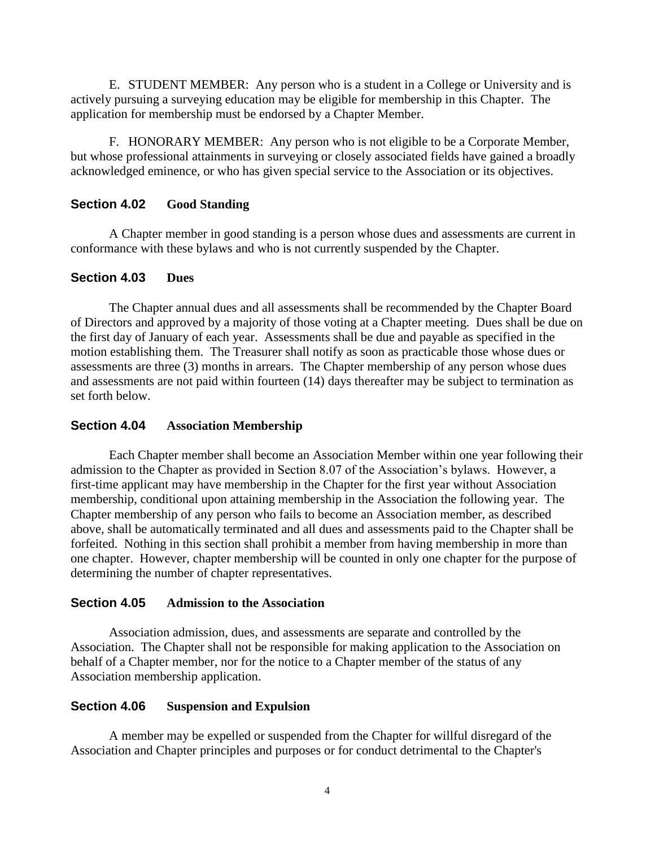E. STUDENT MEMBER: Any person who is a student in a College or University and is actively pursuing a surveying education may be eligible for membership in this Chapter. The application for membership must be endorsed by a Chapter Member.

F. HONORARY MEMBER: Any person who is not eligible to be a Corporate Member, but whose professional attainments in surveying or closely associated fields have gained a broadly acknowledged eminence, or who has given special service to the Association or its objectives.

# **Section 4.02 Good Standing**

A Chapter member in good standing is a person whose dues and assessments are current in conformance with these bylaws and who is not currently suspended by the Chapter.

## **Section 4.03 Dues**

The Chapter annual dues and all assessments shall be recommended by the Chapter Board of Directors and approved by a majority of those voting at a Chapter meeting. Dues shall be due on the first day of January of each year. Assessments shall be due and payable as specified in the motion establishing them. The Treasurer shall notify as soon as practicable those whose dues or assessments are three (3) months in arrears. The Chapter membership of any person whose dues and assessments are not paid within fourteen (14) days thereafter may be subject to termination as set forth below.

## **Section 4.04 Association Membership**

Each Chapter member shall become an Association Member within one year following their admission to the Chapter as provided in Section 8.07 of the Association's bylaws. However, a first-time applicant may have membership in the Chapter for the first year without Association membership, conditional upon attaining membership in the Association the following year. The Chapter membership of any person who fails to become an Association member, as described above, shall be automatically terminated and all dues and assessments paid to the Chapter shall be forfeited. Nothing in this section shall prohibit a member from having membership in more than one chapter. However, chapter membership will be counted in only one chapter for the purpose of determining the number of chapter representatives.

## **Section 4.05 Admission to the Association**

Association admission, dues, and assessments are separate and controlled by the Association. The Chapter shall not be responsible for making application to the Association on behalf of a Chapter member, nor for the notice to a Chapter member of the status of any Association membership application.

## **Section 4.06 Suspension and Expulsion**

A member may be expelled or suspended from the Chapter for willful disregard of the Association and Chapter principles and purposes or for conduct detrimental to the Chapter's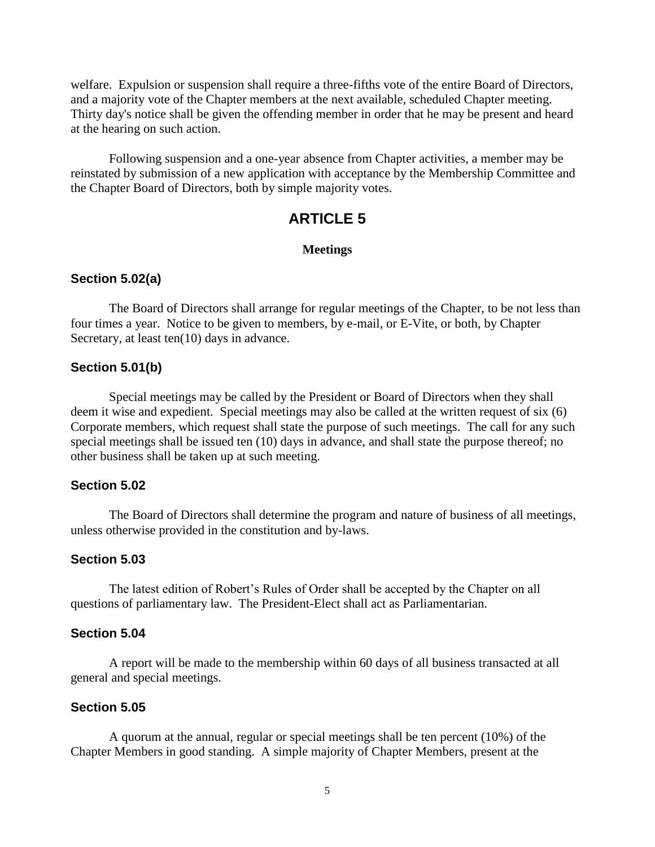welfare. Expulsion or suspension shall require a three-fifths vote of the entire Board of Directors, and a majority vote of the Chapter members at the next available, scheduled Chapter meeting. Thirty day's notice shall be given the offending member in order that he may be present and heard at the hearing on such action.

Following suspension and a one-year absence from Chapter activities, a member may be reinstated by submission of a new application with acceptance by the Membership Committee and the Chapter Board of Directors, both by simple majority votes.

# **ARTICLE 5**

### **Meetings**

## **Section 5.02(a)**

The Board of Directors shall arrange for regular meetings of the Chapter, to be not less than four times a year. Notice to be given to members, by e-mail, or E-Vite, or both, by Chapter Secretary, at least ten(10) days in advance.

## **Section 5.01(b)**

Special meetings may be called by the President or Board of Directors when they shall deem it wise and expedient. Special meetings may also be called at the written request of six (6) Corporate members, which request shall state the purpose of such meetings. The call for any such special meetings shall be issued ten (10) days in advance, and shall state the purpose thereof; no other business shall be taken up at such meeting.

## **Section 5.02**

The Board of Directors shall determine the program and nature of business of all meetings, unless otherwise provided in the constitution and by-laws.

### **Section 5.03**

The latest edition of Robert's Rules of Order shall be accepted by the Chapter on all questions of parliamentary law. The President-Elect shall act as Parliamentarian.

### **Section 5.04**

A report will be made to the membership within 60 days of all business transacted at all general and special meetings.

## **Section 5.05**

A quorum at the annual, regular or special meetings shall be ten percent (10%) of the Chapter Members in good standing. A simple majority of Chapter Members, present at the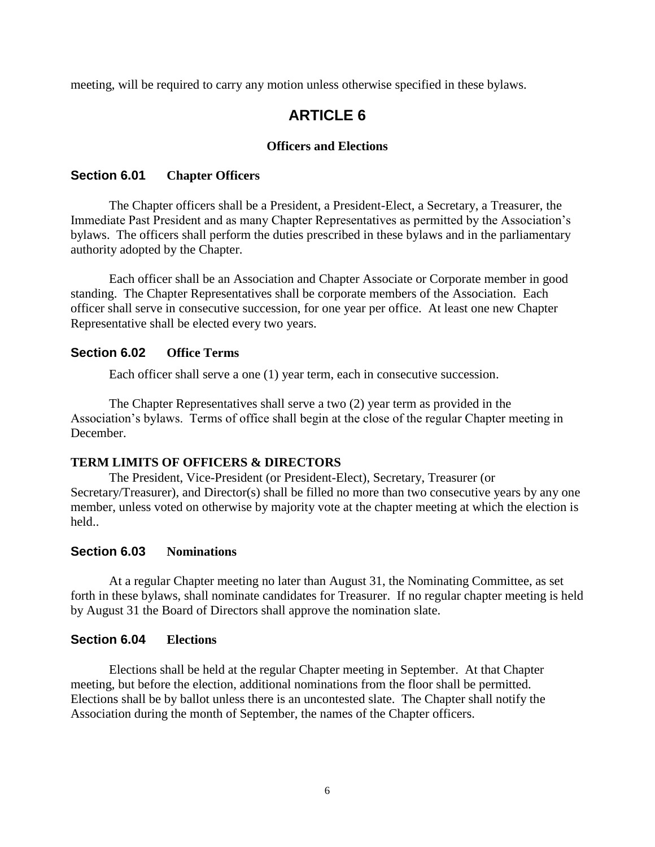meeting, will be required to carry any motion unless otherwise specified in these bylaws.

# **ARTICLE 6**

## **Officers and Elections**

## **Section 6.01 Chapter Officers**

The Chapter officers shall be a President, a President-Elect, a Secretary, a Treasurer, the Immediate Past President and as many Chapter Representatives as permitted by the Association's bylaws. The officers shall perform the duties prescribed in these bylaws and in the parliamentary authority adopted by the Chapter.

Each officer shall be an Association and Chapter Associate or Corporate member in good standing. The Chapter Representatives shall be corporate members of the Association. Each officer shall serve in consecutive succession, for one year per office. At least one new Chapter Representative shall be elected every two years.

# **Section 6.02 Office Terms**

Each officer shall serve a one (1) year term, each in consecutive succession.

The Chapter Representatives shall serve a two (2) year term as provided in the Association's bylaws. Terms of office shall begin at the close of the regular Chapter meeting in December.

## **TERM LIMITS OF OFFICERS & DIRECTORS**

The President, Vice-President (or President-Elect), Secretary, Treasurer (or Secretary/Treasurer), and Director(s) shall be filled no more than two consecutive years by any one member, unless voted on otherwise by majority vote at the chapter meeting at which the election is held..

## **Section 6.03 Nominations**

At a regular Chapter meeting no later than August 31, the Nominating Committee, as set forth in these bylaws, shall nominate candidates for Treasurer. If no regular chapter meeting is held by August 31 the Board of Directors shall approve the nomination slate.

## **Section 6.04 Elections**

Elections shall be held at the regular Chapter meeting in September. At that Chapter meeting, but before the election, additional nominations from the floor shall be permitted. Elections shall be by ballot unless there is an uncontested slate. The Chapter shall notify the Association during the month of September, the names of the Chapter officers.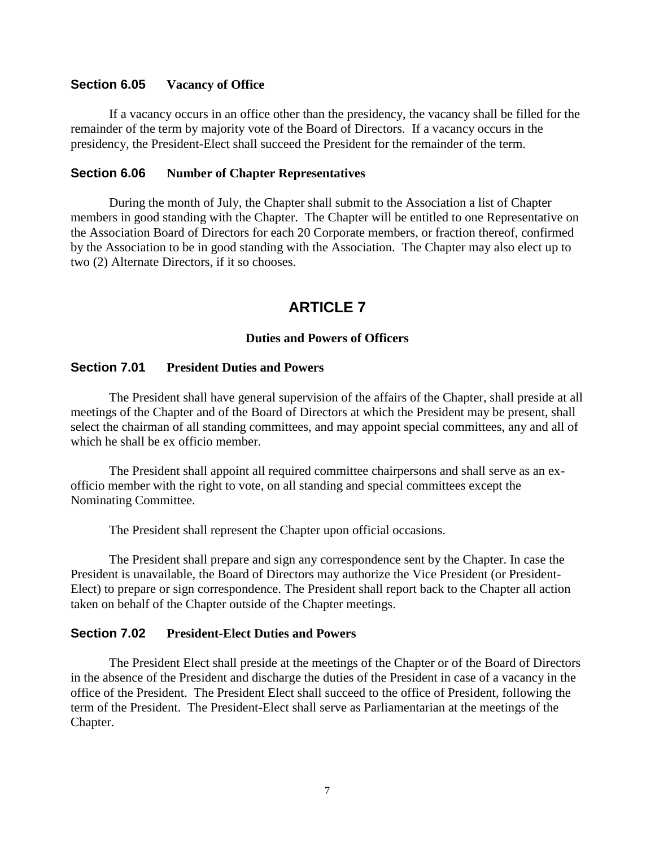### **Section 6.05 Vacancy of Office**

If a vacancy occurs in an office other than the presidency, the vacancy shall be filled for the remainder of the term by majority vote of the Board of Directors. If a vacancy occurs in the presidency, the President-Elect shall succeed the President for the remainder of the term.

### **Section 6.06 Number of Chapter Representatives**

During the month of July, the Chapter shall submit to the Association a list of Chapter members in good standing with the Chapter. The Chapter will be entitled to one Representative on the Association Board of Directors for each 20 Corporate members, or fraction thereof, confirmed by the Association to be in good standing with the Association. The Chapter may also elect up to two (2) Alternate Directors, if it so chooses.

# **ARTICLE 7**

## **Duties and Powers of Officers**

### **Section 7.01 President Duties and Powers**

The President shall have general supervision of the affairs of the Chapter, shall preside at all meetings of the Chapter and of the Board of Directors at which the President may be present, shall select the chairman of all standing committees, and may appoint special committees, any and all of which he shall be ex officio member.

The President shall appoint all required committee chairpersons and shall serve as an exofficio member with the right to vote, on all standing and special committees except the Nominating Committee.

The President shall represent the Chapter upon official occasions.

The President shall prepare and sign any correspondence sent by the Chapter. In case the President is unavailable, the Board of Directors may authorize the Vice President (or President-Elect) to prepare or sign correspondence. The President shall report back to the Chapter all action taken on behalf of the Chapter outside of the Chapter meetings.

### **Section 7.02 President-Elect Duties and Powers**

The President Elect shall preside at the meetings of the Chapter or of the Board of Directors in the absence of the President and discharge the duties of the President in case of a vacancy in the office of the President. The President Elect shall succeed to the office of President, following the term of the President. The President-Elect shall serve as Parliamentarian at the meetings of the Chapter.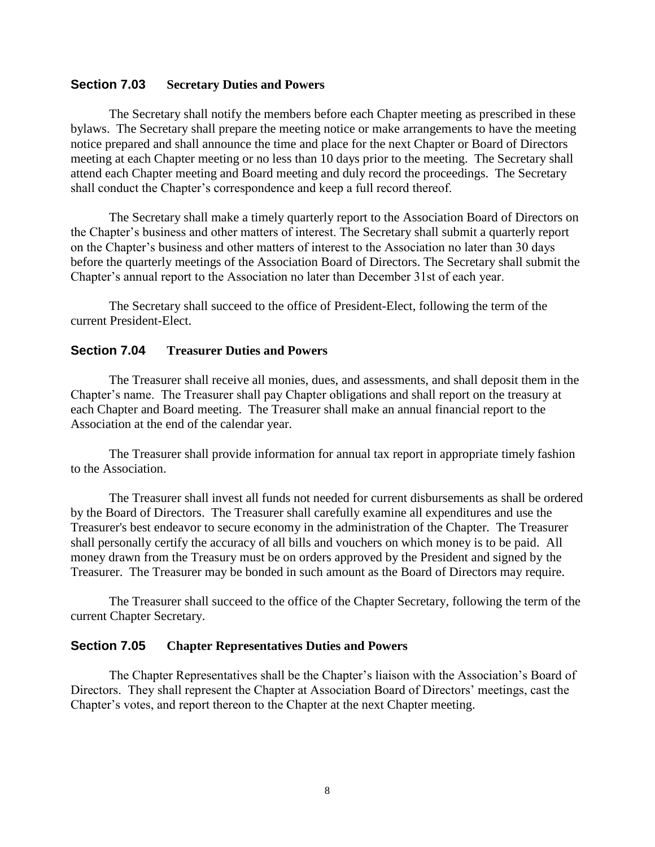### **Section 7.03 Secretary Duties and Powers**

The Secretary shall notify the members before each Chapter meeting as prescribed in these bylaws. The Secretary shall prepare the meeting notice or make arrangements to have the meeting notice prepared and shall announce the time and place for the next Chapter or Board of Directors meeting at each Chapter meeting or no less than 10 days prior to the meeting. The Secretary shall attend each Chapter meeting and Board meeting and duly record the proceedings. The Secretary shall conduct the Chapter's correspondence and keep a full record thereof.

The Secretary shall make a timely quarterly report to the Association Board of Directors on the Chapter's business and other matters of interest. The Secretary shall submit a quarterly report on the Chapter's business and other matters of interest to the Association no later than 30 days before the quarterly meetings of the Association Board of Directors. The Secretary shall submit the Chapter's annual report to the Association no later than December 31st of each year.

The Secretary shall succeed to the office of President-Elect, following the term of the current President-Elect.

## **Section 7.04 Treasurer Duties and Powers**

The Treasurer shall receive all monies, dues, and assessments, and shall deposit them in the Chapter's name. The Treasurer shall pay Chapter obligations and shall report on the treasury at each Chapter and Board meeting. The Treasurer shall make an annual financial report to the Association at the end of the calendar year.

The Treasurer shall provide information for annual tax report in appropriate timely fashion to the Association.

The Treasurer shall invest all funds not needed for current disbursements as shall be ordered by the Board of Directors. The Treasurer shall carefully examine all expenditures and use the Treasurer's best endeavor to secure economy in the administration of the Chapter. The Treasurer shall personally certify the accuracy of all bills and vouchers on which money is to be paid. All money drawn from the Treasury must be on orders approved by the President and signed by the Treasurer. The Treasurer may be bonded in such amount as the Board of Directors may require.

The Treasurer shall succeed to the office of the Chapter Secretary, following the term of the current Chapter Secretary.

#### **Section 7.05 Chapter Representatives Duties and Powers**

The Chapter Representatives shall be the Chapter's liaison with the Association's Board of Directors. They shall represent the Chapter at Association Board of Directors' meetings, cast the Chapter's votes, and report thereon to the Chapter at the next Chapter meeting.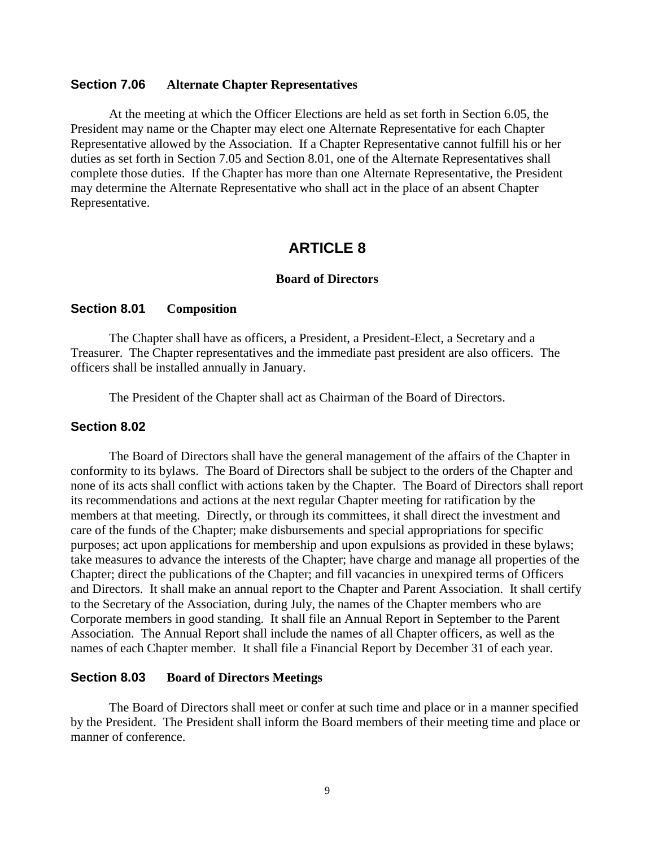### **Section 7.06 Alternate Chapter Representatives**

At the meeting at which the Officer Elections are held as set forth in Section 6.05, the President may name or the Chapter may elect one Alternate Representative for each Chapter Representative allowed by the Association. If a Chapter Representative cannot fulfill his or her duties as set forth in Section 7.05 and Section 8.01, one of the Alternate Representatives shall complete those duties. If the Chapter has more than one Alternate Representative, the President may determine the Alternate Representative who shall act in the place of an absent Chapter Representative.

# **ARTICLE 8**

## **Board of Directors**

### **Section 8.01 Composition**

The Chapter shall have as officers, a President, a President-Elect, a Secretary and a Treasurer. The Chapter representatives and the immediate past president are also officers. The officers shall be installed annually in January.

The President of the Chapter shall act as Chairman of the Board of Directors.

### **Section 8.02**

The Board of Directors shall have the general management of the affairs of the Chapter in conformity to its bylaws. The Board of Directors shall be subject to the orders of the Chapter and none of its acts shall conflict with actions taken by the Chapter. The Board of Directors shall report its recommendations and actions at the next regular Chapter meeting for ratification by the members at that meeting. Directly, or through its committees, it shall direct the investment and care of the funds of the Chapter; make disbursements and special appropriations for specific purposes; act upon applications for membership and upon expulsions as provided in these bylaws; take measures to advance the interests of the Chapter; have charge and manage all properties of the Chapter; direct the publications of the Chapter; and fill vacancies in unexpired terms of Officers and Directors. It shall make an annual report to the Chapter and Parent Association. It shall certify to the Secretary of the Association, during July, the names of the Chapter members who are Corporate members in good standing. It shall file an Annual Report in September to the Parent Association. The Annual Report shall include the names of all Chapter officers, as well as the names of each Chapter member. It shall file a Financial Report by December 31 of each year.

### **Section 8.03 Board of Directors Meetings**

The Board of Directors shall meet or confer at such time and place or in a manner specified by the President. The President shall inform the Board members of their meeting time and place or manner of conference.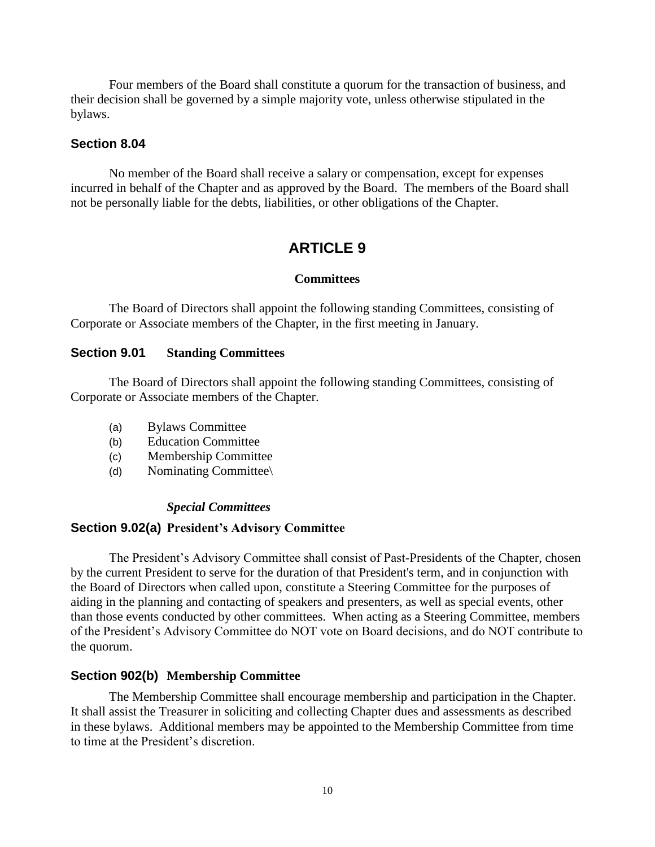Four members of the Board shall constitute a quorum for the transaction of business, and their decision shall be governed by a simple majority vote, unless otherwise stipulated in the bylaws.

## **Section 8.04**

No member of the Board shall receive a salary or compensation, except for expenses incurred in behalf of the Chapter and as approved by the Board. The members of the Board shall not be personally liable for the debts, liabilities, or other obligations of the Chapter.

# **ARTICLE 9**

## **Committees**

The Board of Directors shall appoint the following standing Committees, consisting of Corporate or Associate members of the Chapter, in the first meeting in January.

## **Section 9.01 Standing Committees**

The Board of Directors shall appoint the following standing Committees, consisting of Corporate or Associate members of the Chapter.

- (a) Bylaws Committee
- (b) Education Committee
- (c) Membership Committee
- (d) Nominating Committee\

# *Special Committees*

# **Section 9.02(a) President's Advisory Committee**

The President's Advisory Committee shall consist of Past-Presidents of the Chapter, chosen by the current President to serve for the duration of that President's term, and in conjunction with the Board of Directors when called upon, constitute a Steering Committee for the purposes of aiding in the planning and contacting of speakers and presenters, as well as special events, other than those events conducted by other committees. When acting as a Steering Committee, members of the President's Advisory Committee do NOT vote on Board decisions, and do NOT contribute to the quorum.

# **Section 902(b) Membership Committee**

The Membership Committee shall encourage membership and participation in the Chapter. It shall assist the Treasurer in soliciting and collecting Chapter dues and assessments as described in these bylaws. Additional members may be appointed to the Membership Committee from time to time at the President's discretion.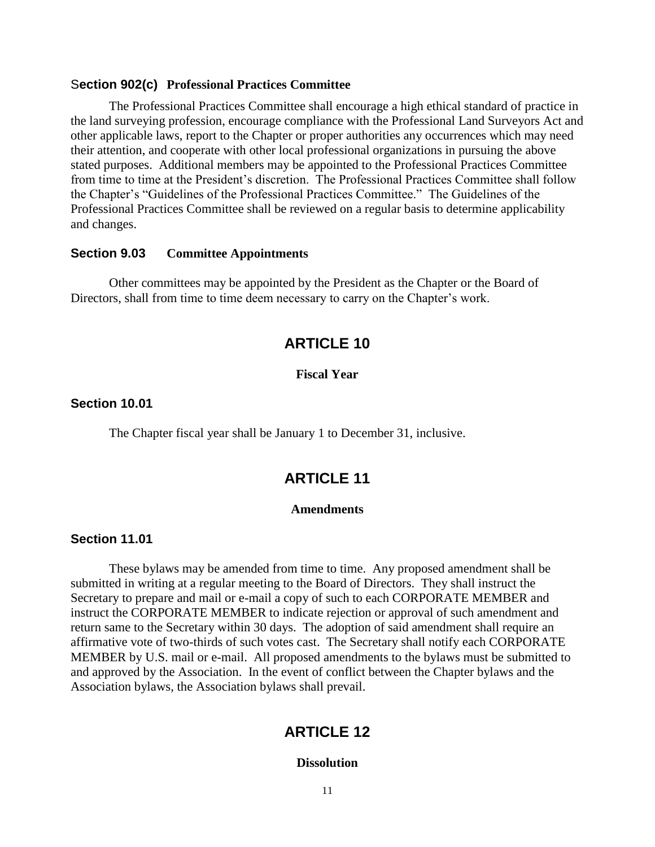#### S**ection 902(c) Professional Practices Committee**

The Professional Practices Committee shall encourage a high ethical standard of practice in the land surveying profession, encourage compliance with the Professional Land Surveyors Act and other applicable laws, report to the Chapter or proper authorities any occurrences which may need their attention, and cooperate with other local professional organizations in pursuing the above stated purposes. Additional members may be appointed to the Professional Practices Committee from time to time at the President's discretion. The Professional Practices Committee shall follow the Chapter's "Guidelines of the Professional Practices Committee." The Guidelines of the Professional Practices Committee shall be reviewed on a regular basis to determine applicability and changes.

### **Section 9.03 Committee Appointments**

Other committees may be appointed by the President as the Chapter or the Board of Directors, shall from time to time deem necessary to carry on the Chapter's work.

# **ARTICLE 10**

### **Fiscal Year**

### **Section 10.01**

The Chapter fiscal year shall be January 1 to December 31, inclusive.

# **ARTICLE 11**

#### **Amendments**

### **Section 11.01**

These bylaws may be amended from time to time. Any proposed amendment shall be submitted in writing at a regular meeting to the Board of Directors. They shall instruct the Secretary to prepare and mail or e-mail a copy of such to each CORPORATE MEMBER and instruct the CORPORATE MEMBER to indicate rejection or approval of such amendment and return same to the Secretary within 30 days. The adoption of said amendment shall require an affirmative vote of two-thirds of such votes cast. The Secretary shall notify each CORPORATE MEMBER by U.S. mail or e-mail. All proposed amendments to the bylaws must be submitted to and approved by the Association. In the event of conflict between the Chapter bylaws and the Association bylaws, the Association bylaws shall prevail.

# **ARTICLE 12**

#### **Dissolution**